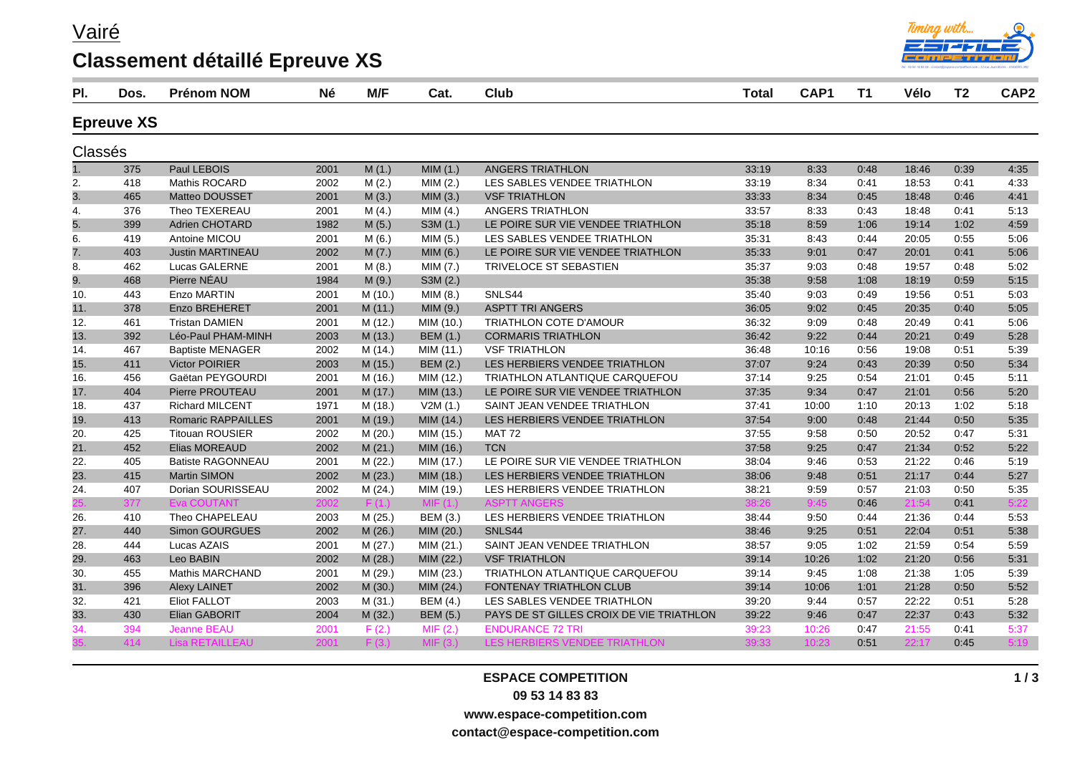Vairé

## **Classement détaillé Epreuve XS**



| PI.     | Dos.              | <b>Prénom NOM</b>         | <b>Né</b> | M/F     | Cat.            | <b>Club</b>                              | <b>Total</b> | CAP <sub>1</sub> | T <sub>1</sub> | Vélo  | T <sub>2</sub> | CAP <sub>2</sub> |
|---------|-------------------|---------------------------|-----------|---------|-----------------|------------------------------------------|--------------|------------------|----------------|-------|----------------|------------------|
|         | <b>Epreuve XS</b> |                           |           |         |                 |                                          |              |                  |                |       |                |                  |
| Classés |                   |                           |           |         |                 |                                          |              |                  |                |       |                |                  |
|         | 375               | Paul LEBOIS               | 2001      | M(1.)   | MIM(1.)         | ANGERS TRIATHLON                         | 33:19        | 8:33             | 0:48           | 18:46 | 0:39           | 4:35             |
| 2.      | 418               | Mathis ROCARD             | 2002      | M(2.)   | MIM(2.)         | LES SABLES VENDEE TRIATHLON              | 33:19        | 8:34             | 0:41           | 18:53 | 0.41           | 4:33             |
| 3.      | 465               | Matteo DOUSSET            | 2001      | M(3.)   | MIM(3.)         | <b>VSF TRIATHLON</b>                     | 33:33        | 8:34             | 0:45           | 18:48 | 0:46           | 4:41             |
| 4.      | 376               | Theo TEXEREAU             | 2001      | M(4.)   | MIM (4.)        | ANGERS TRIATHLON                         | 33:57        | 8:33             | 0:43           | 18:48 | 0:41           | 5:13             |
| 5.      | 399               | <b>Adrien CHOTARD</b>     | 1982      | M(5.)   | S3M (1.)        | LE POIRE SUR VIE VENDEE TRIATHLON        | 35:18        | 8:59             | 1:06           | 19:14 | 1:02           | 4:59             |
| 6.      | 419               | Antoine MICOU             | 2001      | M(6.)   | MIM (5.)        | LES SABLES VENDEE TRIATHLON              | 35:31        | 8:43             | 0:44           | 20:05 | 0:55           | 5:06             |
| 7.      | 403               | <b>Justin MARTINEAU</b>   | 2002      | M(7.)   | MIM(6.)         | LE POIRE SUR VIE VENDEE TRIATHLON        | 35:33        | 9:01             | 0:47           | 20:01 | 0:41           | 5:06             |
| 8.      | 462               | <b>Lucas GALERNE</b>      | 2001      | M(8.)   | MIM(7.)         | TRIVELOCE ST SEBASTIEN                   | 35:37        | 9:03             | 0:48           | 19:57 | 0:48           | 5:02             |
| 9.      | 468               | Pierre NÉAU               | 1984      | M(9.)   | S3M (2.)        |                                          | 35:38        | 9:58             | 1:08           | 18:19 | 0:59           | 5:15             |
| 10.     | 443               | <b>Enzo MARTIN</b>        | 2001      | M(10.)  | MIM(8.)         | SNLS44                                   | 35:40        | 9:03             | 0:49           | 19:56 | 0:51           | 5:03             |
| 11.     | 378               | <b>Enzo BREHERET</b>      | 2001      | M(11.)  | MIM (9.)        | <b>ASPTT TRI ANGERS</b>                  | 36:05        | 9:02             | 0:45           | 20:35 | 0:40           | 5:05             |
| 12.     | 461               | <b>Tristan DAMIEN</b>     | 2001      | M (12.) | MIM (10.)       | TRIATHLON COTE D'AMOUR                   | 36:32        | 9:09             | 0:48           | 20:49 | 0:41           | 5:06             |
| 13.     | 392               | Léo-Paul PHAM-MINH        | 2003      | M(13.)  | <b>BEM (1.)</b> | <b>CORMARIS TRIATHLON</b>                | 36:42        | 9:22             | 0:44           | 20:21 | 0:49           | 5:28             |
| 14.     | 467               | <b>Baptiste MENAGER</b>   | 2002      | M (14.) | MIM (11.)       | <b>VSF TRIATHLON</b>                     | 36:48        | 10:16            | 0.56           | 19:08 | 0:51           | 5:39             |
| 15.     | 411               | <b>Victor POIRIER</b>     | 2003      | M (15.) | <b>BEM (2.)</b> | LES HERBIERS VENDEE TRIATHLON            | 37:07        | 9:24             | 0:43           | 20:39 | 0:50           | 5:34             |
| 16.     | 456               | Gaëtan PEYGOURDI          | 2001      | M (16.) | MIM (12.)       | TRIATHLON ATLANTIQUE CARQUEFOU           | 37:14        | 9:25             | 0:54           | 21:01 | 0:45           | 5:11             |
| 17.     | 404               | Pierre PROUTEAU           | 2001      | M(17.)  | MIM (13.)       | LE POIRE SUR VIE VENDEE TRIATHLON        | 37:35        | 9:34             | 0:47           | 21:01 | 0:56           | 5:20             |
| 18.     | 437               | <b>Richard MILCENT</b>    | 1971      | M (18.) | V2M(1.)         | SAINT JEAN VENDEE TRIATHLON              | 37:41        | 10:00            | 1:10           | 20:13 | 1:02           | 5:18             |
| 19.     | 413               | <b>Romaric RAPPAILLES</b> | 2001      | M (19.) | MIM (14.)       | LES HERBIERS VENDEE TRIATHLON            | 37:54        | 9:00             | 0:48           | 21:44 | 0:50           | 5:35             |
| 20.     | 425               | <b>Titouan ROUSIER</b>    | 2002      | M(20.)  | MIM (15.)       | <b>MAT 72</b>                            | 37:55        | 9:58             | 0:50           | 20:52 | 0:47           | 5:31             |
| 21.     | 452               | Elias MOREAUD             | 2002      | M(21.)  | MIM (16.)       | <b>TCN</b>                               | 37:58        | 9:25             | 0:47           | 21:34 | 0:52           | 5:22             |
| 22.     | 405               | <b>Batiste RAGONNEAU</b>  | 2001      | M(22.)  | MIM (17.)       | LE POIRE SUR VIE VENDEE TRIATHLON        | 38:04        | 9:46             | 0:53           | 21:22 | 0:46           | 5:19             |
| 23.     | 415               | <b>Martin SIMON</b>       | 2002      | M(23.)  | MIM (18.)       | LES HERBIERS VENDEE TRIATHLON            | 38:06        | 9:48             | 0:51           | 21:17 | 0:44           | 5:27             |
| 24.     | 407               | Dorian SOURISSEAU         | 2002      | M(24.)  | MIM (19.)       | LES HERBIERS VENDEE TRIATHLON            | 38:21        | 9:59             | 0:57           | 21:03 | 0:50           | 5:35             |
|         | 377               | <b>Eva COUTANT</b>        | 2002      | F(1)    | MIF(1.)         | <b>ASPTT ANGERS</b>                      |              | 9:45             | 0:46           | 21:54 | 0:41           | 5:22             |
| 26.     | 410               | Theo CHAPELEAU            | 2003      | M(25.)  | <b>BEM (3.)</b> | LES HERBIERS VENDEE TRIATHLON            | 38:44        | 9:50             | 0:44           | 21:36 | 0:44           | 5:53             |
| 27.     | 440               | Simon GOURGUES            | 2002      | M(26.)  | MIM (20.)       | SNLS44                                   | 38:46        | 9:25             | 0:51           | 22:04 | 0:51           | 5:38             |
| 28.     | 444               | Lucas AZAIS               | 2001      | M(27.)  | MIM (21.)       | SAINT JEAN VENDEE TRIATHLON              | 38:57        | 9:05             | 1:02           | 21:59 | 0:54           | 5:59             |
| 29.     | 463               | Leo BABIN                 | 2002      | M(28.)  | MIM (22.)       | <b>VSF TRIATHLON</b>                     | 39:14        | 10:26            | 1:02           | 21:20 | 0:56           | 5:31             |
| 30.     | 455               | <b>Mathis MARCHAND</b>    | 2001      | M (29.) | MIM (23.)       | TRIATHLON ATLANTIQUE CARQUEFOU           | 39:14        | 9:45             | 1:08           | 21:38 | 1:05           | 5:39             |
| 31.     | 396               | <b>Alexy LAINET</b>       | 2002      | M(30.)  | MIM (24.)       | FONTENAY TRIATHLON CLUB                  | 39:14        | 10:06            | 1:01           | 21:28 | 0:50           | 5:52             |
| 32.     | 421               | <b>Eliot FALLOT</b>       | 2003      | M(31.)  | <b>BEM (4.)</b> | LES SABLES VENDEE TRIATHLON              | 39:20        | 9:44             | 0:57           | 22:22 | 0:51           | 5:28             |
| 33.     | 430               | Elian GABORIT             | 2004      | M (32.) | <b>BEM (5.)</b> | PAYS DE ST GILLES CROIX DE VIE TRIATHLON | 39:22        | 9:46             | 0:47           | 22:37 | 0:43           | 5:32             |
| 34.     | 394               | <b>Jeanne BEAU</b>        | 2001      | F(2.)   | MIF(2.)         | <b>ENDURANCE 72 TRI</b>                  | 39:23        | 10:26            | 0:47           | 21:55 | 0:41           | 5:37             |
|         | 414               | <b>Lisa RETAILLEAL</b>    |           |         |                 |                                          |              | 10:23            | 0:51           | 22:17 | 0:45           |                  |

## **ESPACE COMPETITION 09 53 14 83 83 www.espace-competition.com**

**contact@espace-competition.com**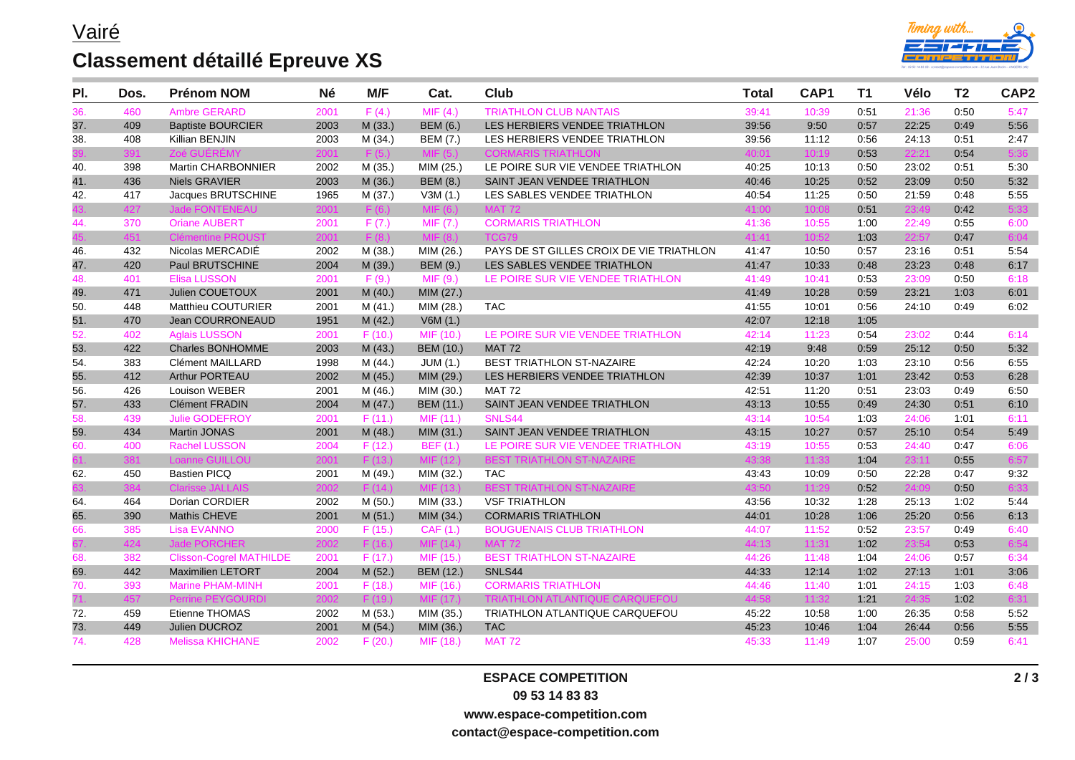## **Classement détaillé Epreuve XS**



| PI. | Dos. | <b>Prénom NOM</b>              | <b>Né</b> | M/F     | Cat.               | Club                                     | <b>Total</b> | CAP1  | T <sub>1</sub> | Vélo  | T <sub>2</sub> | CAP <sub>2</sub> |
|-----|------|--------------------------------|-----------|---------|--------------------|------------------------------------------|--------------|-------|----------------|-------|----------------|------------------|
| 36. | 460  | <b>Ambre GERARD</b>            | 2001      | F(4.)   | MIF(4.)            | <b>TRIATHLON CLUB NANTAIS</b>            | 39:41        | 10:39 | 0:51           | 21:36 | 0:50           | 5:47             |
| 37. | 409  | <b>Baptiste BOURCIER</b>       | 2003      | M (33.) | <b>BEM (6.)</b>    | LES HERBIERS VENDEE TRIATHLON            | 39:56        | 9:50  | 0:57           | 22:25 | 0:49           | 5:56             |
| 38. | 408  | Killian BENJIN                 | 2003      | M (34.) | <b>BEM (7.)</b>    | LES HERBIERS VENDEE TRIATHLON            | 39:56        | 11:12 | 0:56           | 24:13 | 0:51           | 2:47             |
|     |      | Zoé GUEREMY                    | 2001      | F(5.)   | <b>MIF</b><br>(5.) | <b>CORMARIS TRIATHLON</b>                | 40:01        | 10:19 | 0:53           | 22:21 | 0:54           | 5:36             |
| 40. | 398  | Martin CHARBONNIER             | 2002      | M (35.) | MIM (25.)          | LE POIRE SUR VIE VENDEE TRIATHLON        | 40:25        | 10:13 | 0:50           | 23:02 | 0:51           | 5:30             |
| 41. | 436  | <b>Niels GRAVIER</b>           | 2003      | M (36.) | <b>BEM (8.)</b>    | SAINT JEAN VENDEE TRIATHLON              | 40:46        | 10:25 | 0:52           | 23:09 | 0:50           | 5:32             |
| 42. | 417  | Jacques BRUTSCHINE             | 1965      | M(37.)  | V3M(1.)            | LES SABLES VENDEE TRIATHLON              | 40:54        | 11:25 | 0:50           | 21:59 | 0:48           | 5:55             |
|     | 427  | <b>Jade FONTENEAU</b>          | 2001      | F(6.)   | MIF(6.)            | <b>MAT 72</b>                            | 41:00        | 10:08 | 0:51           | 23:49 | 0:42           | 5:33             |
| 44. | 370  | <b>Oriane AUBERT</b>           | 2001      | F(7.)   | MIF (7.)           | <b>CORMARIS TRIATHLON</b>                | 41:36        | 10:55 | 1:00           | 22:49 | 0:55           | 6:00             |
|     | 451  | <b>Clémentine PROUST</b>       | 2001      | F(8)    | MIF(8.)            | TCG79                                    | 41:41        | 10:52 | 1:03           | 22:57 | 0:47           | 6:04             |
| 46. | 432  | Nicolas MERCADIÉ               | 2002      | M (38.) | MIM (26.)          | PAYS DE ST GILLES CROIX DE VIE TRIATHLON | 41:47        | 10:50 | 0:57           | 23:16 | 0:51           | 5:54             |
| 47. | 420  | Paul BRUTSCHINE                | 2004      | M (39.) | <b>BEM (9.)</b>    | LES SABLES VENDEE TRIATHLON              | 41:47        | 10:33 | 0:48           | 23:23 | 0:48           | 6:17             |
| 48. | 401  | <b>Elisa LUSSON</b>            | 2001      | F(9.)   | MIF(9.)            | LE POIRE SUR VIE VENDEE TRIATHLON        | 41:49        | 10:41 | 0:53           | 23:09 | 0:50           | 6:18             |
| 49. | 471  | Julien COUETOUX                | 2001      | M(40.)  | MIM (27.)          |                                          | 41:49        | 10:28 | 0:59           | 23:21 | 1:03           | 6:01             |
| 50. | 448  | Matthieu COUTURIER             | 2001      | M(41.)  | MIM (28.)          | <b>TAC</b>                               | 41:55        | 10:01 | 0:56           | 24:10 | 0:49           | 6:02             |
| 51. | 470  | Jean COURRONEAUD               | 1951      | M(42.)  | V6M(1.)            |                                          | 42:07        | 12:18 | 1:05           |       |                |                  |
| 52. | 402  | <b>Aglais LUSSON</b>           | 2001      | F(10.)  | MIF (10.)          | LE POIRE SUR VIE VENDEE TRIATHLON        | 42:14        | 11:23 | 0:54           | 23:02 | 0.44           | 6:14             |
| 53. | 422  | <b>Charles BONHOMME</b>        | 2003      | M(43.)  | <b>BEM (10.)</b>   | <b>MAT 72</b>                            | 42:19        | 9:48  | 0:59           | 25:12 | 0:50           | 5:32             |
| 54. | 383  | Clément MAILLARD               | 1998      | M (44.) | JUM (1.)           | BEST TRIATHLON ST-NAZAIRE                | 42:24        | 10:20 | 1:03           | 23:10 | 0:56           | 6:55             |
| 55. | 412  | Arthur PORTEAU                 | 2002      | M(45.)  | MIM (29.)          | LES HERBIERS VENDEE TRIATHLON            | 42:39        | 10:37 | 1:01           | 23:42 | 0:53           | 6:28             |
| 56. | 426  | Louison WEBER                  | 2001      | M (46.) | MIM (30.)          | <b>MAT 72</b>                            | 42:51        | 11:20 | 0:51           | 23:03 | 0:49           | 6:50             |
| 57. | 433  | <b>Clément FRADIN</b>          | 2004      | M(47.)  | BEM (11.)          | SAINT JEAN VENDEE TRIATHLON              | 43:13        | 10:55 | 0:49           | 24:30 | 0:51           | 6:10             |
| 58. | 439  | <b>Julie GODEFROY</b>          | 2001      | F(11.)  | MIF (11.)          | SNLS44                                   | 43:14        | 10:54 | 1:03           | 24:06 | 1:01           | 6:11             |
| 59. | 434  | Martin JONAS                   | 2001      | M (48.) | MIM (31.)          | SAINT JEAN VENDEE TRIATHLON              | 43:15        | 10:27 | 0:57           | 25:10 | 0:54           | 5:49             |
| 60. | 400  | <b>Rachel LUSSON</b>           | 2004      | F(12.)  | <b>BEF</b> (1.)    | LE POIRE SUR VIE VENDEE TRIATHLON        | 43:19        | 10:55 | 0:53           | 24:40 | 0:47           | 6:06             |
|     | 381  | <b>Loanne GUILLOU</b>          | 2001      | F(13.)  | MIF (12.)          | <b>BEST TRIATHLON ST-NAZAIRE</b>         | 43:38        | 11:33 | 1:04           | 23:11 | 0:55           | 6:57             |
| 62. | 450  | <b>Bastien PICQ</b>            | 2001      | M (49.) | MIM (32.)          | <b>TAC</b>                               | 43:43        | 10:09 | 0:50           | 22:28 | 0:47           | 9:32             |
|     |      | <b>Clarisse JALLAIS</b>        | 2002      | F(14)   | MIF (13.)          | <b>BEST TRIATHLON ST-NAZAIRE</b>         | 43:50        | 11:29 | 0:52           | 24:09 | 0:50           | 6:33             |
| 64. | 464  | Dorian CORDIER                 | 2002      | M(50.)  | MIM (33.)          | <b>VSF TRIATHLON</b>                     | 43:56        | 10:32 | 1:28           | 25:13 | 1:02           | 5:44             |
| 65. | 390  | Mathis CHEVE                   | 2001      | M(51.)  | MIM (34.)          | <b>CORMARIS TRIATHLON</b>                | 44:01        | 10:28 | 1:06           | 25:20 | 0:56           | 6:13             |
| 66. | 385  | <b>Lisa EVANNO</b>             | 2000      | F(15.)  | CAF(1.)            | <b>BOUGUENAIS CLUB TRIATHLON</b>         | 44:07        | 11:52 | 0:52           | 23:57 | 0:49           | 6:40             |
|     | 424  | <b>Jade PORCHER</b>            | 2002      | F(16.)  | MIF (14.)          | <b>MAT 72</b>                            | 44:13        | 11:31 | 1:02           | 23:54 | 0:53           | 6:54             |
| 68. | 382  | <b>Clisson-Cogrel MATHILDE</b> | 2001      | F(17.)  | MIF (15.)          | <b>BEST TRIATHLON ST-NAZAIRE</b>         | 44:26        | 11:48 | 1:04           | 24:06 | 0:57           | 6:34             |
| 69. | 442  | <b>Maximilien LETORT</b>       | 2004      | M(52.)  | <b>BEM (12.)</b>   | SNLS44                                   | 44:33        | 12:14 | 1:02           | 27:13 | 1:01           | 3:06             |
| 70. | 393  | <b>Marine PHAM-MINH</b>        | 2001      | F(18.)  | MIF (16.)          | <b>CORMARIS TRIATHLON</b>                | 44:46        | 11:40 | 1:01           | 24:15 | 1:03           | 6:48             |
|     | 457  | Perrine PEYGOURDI              | 2002      | F(19.)  | MIF (17.)          | <b>TRIATHLON ATLANTIQUE CARQUEFOU</b>    | 44:58        | 11:32 | 1:21           | 24:35 | 1:02           | 6:31             |
| 72. | 459  | Etienne THOMAS                 | 2002      | M (53.) | MIM (35.)          | TRIATHLON ATLANTIQUE CARQUEFOU           | 45:22        | 10:58 | 1:00           | 26:35 | 0:58           | 5:52             |
| 73. | 449  | Julien DUCROZ                  | 2001      | M(54.)  | MIM (36.)          | <b>TAC</b>                               | 45:23        | 10:46 | 1:04           | 26:44 | 0:56           | 5:55             |
| 74. | 428  | <b>Melissa KHICHANE</b>        | 2002      | F(20.)  | MIF (18.)          | <b>MAT 72</b>                            | 45:33        | 11:49 | 1:07           | 25:00 | 0:59           | 6:41             |

**ESPACE COMPETITION 09 53 14 83 83 www.espace-competition.com contact@espace-competition.com**